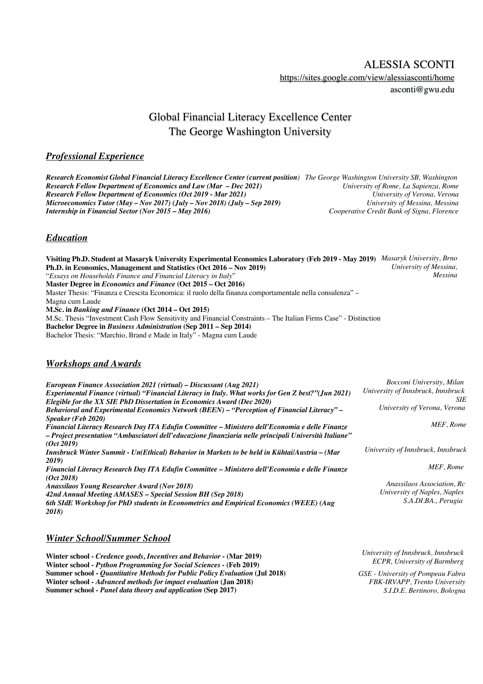ALESSIA SCONTI https://sites.google.com/view/alessiasconti/home

asconti@gwu.edu

# Global Financial Literacy Excellence Center The George Washington University

# *Professional Experience*

*Research Economist Global Financial Literacy Excellence Center (current position) The George Washington University SB, Washington Research Fellow Department of Economics and Law (Mar – Dec 2021) University of Rome, La Sapienza, Rome Research Fellow Department of Economics (Oct 2019 - Mar 2021) University of Verona, Verona Microeconomics Tutor (May – Nov 2017) (July – Nov 2018) (July – Sep 2019) University of Messina, Messina Internship in Financial Sector (Nov 2015 – May 2016)* 

# *Education*

**Visiting Ph.D. Student at Masaryk University Experimental Economics Laboratory (Feb 2019 - May 2019)** *Masaryk University, Brno* **Ph.D. in Economics, Management and Statistics (Oct 2016 – Nov 2019)** "*Essays on Households Finance and Financial Literacy in Italy*" **Master Degree in** *Economics and Finance* **(Oct 2015 – Oct 2016)** Master Thesis: "Finanza e Crescita Economica: il ruolo della finanza comportamentale nella consulenza" – Magna cum Laude **M.Sc. in** *Banking and Finance* **(Oct 2014 – Oct 2015)**  M.Sc. Thesis "Investment Cash Flow Sensitivity and Financial Constraints – The Italian Firms Case" - Distinction **Bachelor Degree in** *Business Administration* **(Sep 2011 – Sep 2014)** Bachelor Thesis: "Marchio, Brand e Made in Italy" - Magna cum Laude *University of Messina, Messina*

### *Workshops and Awards*

*European Finance Association 2021 (virtual) – Discussant (Aug 2021) Experimental Finance (virtual) "Financial Literacy in Italy. What works for Gen Z best?"(Jun 2021) Elegible for the XX SIE PhD Dissertation in Economics Award (Dec 2020) Behavioral and Experimental Economics Network (BEEN) – "Perception of Financial Literacy" – Speaker (Feb 2020) Financial Literacy Research Day ITA Edufin Committee – Ministero dell'Economia e delle Finanze – Project presentation "Ambasciatori dell'educazione finanziaria nelle principali Università Italiane" (Oct 2019) Innsbruck Winter Summit - Un(Ethical) Behavior in Markets to be held in Kühtai/Austria – (Mar 2019) Financial Literacy Research Day ITA Edufin Committee – Ministero dell'Economia e delle Finanze (Oct 2018) Anassilaos Young Researcher Award (Nov 2018) 42nd Annual Meeting AMASES – Special Session BH (Sep 2018) 6th SIdE Workshop for PhD students in Econometrics and Empirical Economics (WEEE) (Aug 2018) Bocconi University, Milan University of Innsbruck, Innsbruck SIE University of Verona, Verona MEF, Rome University of Innsbruck, Innsbruck MEF, Rome Anassilaos Association, Rc University of Naples, Naples S.A.DI.BA., Perugia*

## *Winter School/Summer School*

**Winter school -** *Credence goods, Incentives and Behavior* **- (Mar 2019) Winter school -** *Python Programming for Social Sciences* **- (Feb 2019) Summer school -** *Quantitative Methods for Public Policy Evaluation* **(Jul 2018) Winter school -** *Advanced methods for impact evaluation* **(Jan 2018) Summer school -** *Panel data theory and application* **(Sep 2017)** 

*University of Innsbruck, Innsbruck ECPR, University of Barmberg*

 *GSE - University of Pompeau Fabra FBK-IRVAPP, Trento University S.I.D.E. Bertinoro, Bologna*